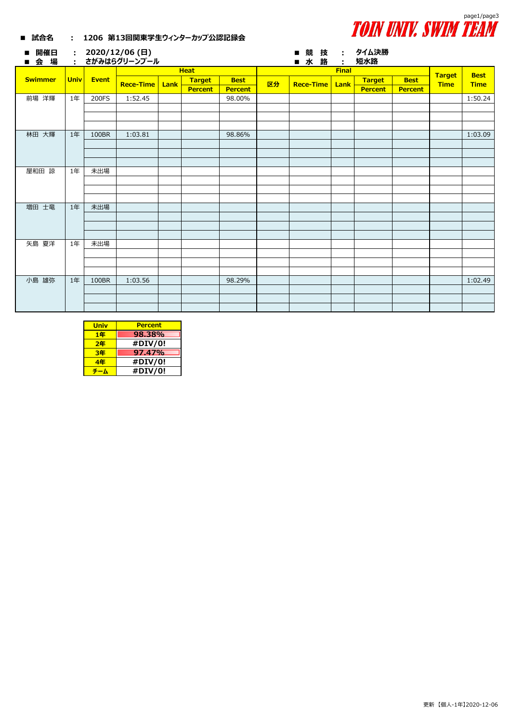

## **■ 試合名 : 1206 第13回関東学生ウィンターカップ公認記録会**

| 開催日<br>п<br>会場<br>ш | $\sim 100$<br>$\ddot{\phantom{a}}$ |              | 2020/12/06 (日)<br>さがみはらグリーンプール |      |                |                |    | 競 技<br>п<br>水路   | $\mathcal{L}_{\mathcal{A}}$ | : タイム決勝<br>短水路 |                |                              |             |
|---------------------|------------------------------------|--------------|--------------------------------|------|----------------|----------------|----|------------------|-----------------------------|----------------|----------------|------------------------------|-------------|
|                     | <b>Univ</b>                        | <b>Event</b> |                                |      | <b>Heat</b>    |                |    |                  |                             | <b>Best</b>    |                |                              |             |
| <b>Swimmer</b>      |                                    |              | <b>Rece-Time</b>               | Lank | <b>Target</b>  | <b>Best</b>    | 区分 | <b>Rece-Time</b> | <b>Lank</b>                 | <b>Target</b>  | <b>Best</b>    | <b>Target</b><br><b>Time</b> | <b>Time</b> |
|                     |                                    |              |                                |      | <b>Percent</b> | <b>Percent</b> |    |                  |                             | <b>Percent</b> | <b>Percent</b> |                              |             |
| 前場 洋輝               | 1年                                 | 200FS        | 1:52.45                        |      |                | 98.00%         |    |                  |                             |                |                |                              | 1:50.24     |
|                     |                                    |              |                                |      |                |                |    |                  |                             |                |                |                              |             |
|                     |                                    |              |                                |      |                |                |    |                  |                             |                |                |                              |             |
|                     |                                    |              |                                |      |                |                |    |                  |                             |                |                |                              |             |
| 林田 大輝               | 1年                                 | 100BR        | 1:03.81                        |      |                | 98.86%         |    |                  |                             |                |                |                              | 1:03.09     |
|                     |                                    |              |                                |      |                |                |    |                  |                             |                |                |                              |             |
|                     |                                    |              |                                |      |                |                |    |                  |                             |                |                |                              |             |
|                     |                                    |              |                                |      |                |                |    |                  |                             |                |                |                              |             |
| 屋和田 諒               | 1年                                 | 未出場          |                                |      |                |                |    |                  |                             |                |                |                              |             |
|                     |                                    |              |                                |      |                |                |    |                  |                             |                |                |                              |             |
|                     |                                    |              |                                |      |                |                |    |                  |                             |                |                |                              |             |
| 増田 士竜               | 1年                                 | 未出場          |                                |      |                |                |    |                  |                             |                |                |                              |             |
|                     |                                    |              |                                |      |                |                |    |                  |                             |                |                |                              |             |
|                     |                                    |              |                                |      |                |                |    |                  |                             |                |                |                              |             |
|                     |                                    |              |                                |      |                |                |    |                  |                             |                |                |                              |             |
| 矢島 夏洋               | 1年                                 | 未出場          |                                |      |                |                |    |                  |                             |                |                |                              |             |
|                     |                                    |              |                                |      |                |                |    |                  |                             |                |                |                              |             |
|                     |                                    |              |                                |      |                |                |    |                  |                             |                |                |                              |             |
|                     |                                    |              |                                |      |                |                |    |                  |                             |                |                |                              |             |
| 小島 雄弥               | 1年                                 | 100BR        | 1:03.56                        |      |                | 98.29%         |    |                  |                             |                |                |                              | 1:02.49     |
|                     |                                    |              |                                |      |                |                |    |                  |                             |                |                |                              |             |
|                     |                                    |              |                                |      |                |                |    |                  |                             |                |                |                              |             |
|                     |                                    |              |                                |      |                |                |    |                  |                             |                |                |                              |             |

| <b>Univ</b> | <b>Percent</b> |
|-------------|----------------|
| 1年          | 98.38%         |
| 2年          | #DIV/0!        |
| 3年          | 97.47%         |
| 4年          | #DIV/0!        |
|             | #DIV/0!        |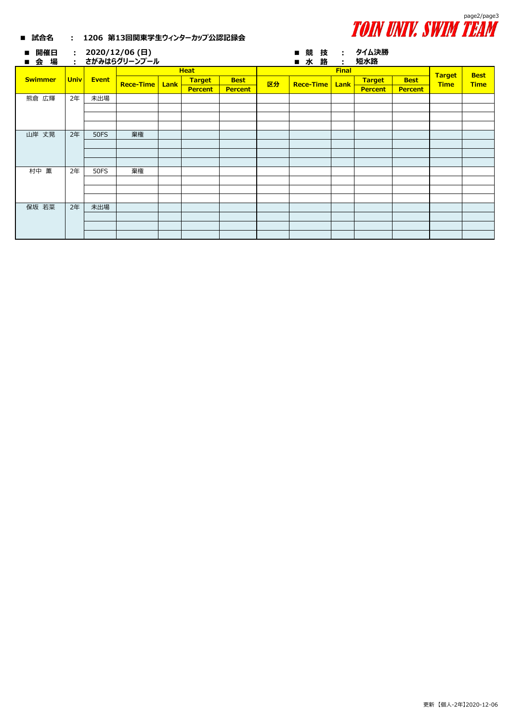

| 開催日<br>$\blacksquare$<br>会場<br>п. |      |              | : $2020/12/06$ (日)<br>・ さがみはらグリーンプール |  |                |                |    | $\blacksquare$<br>п | 競技<br>水路 |  | $\sim 100$  | : タイム決勝<br>短水路 |                |                              |                            |
|-----------------------------------|------|--------------|--------------------------------------|--|----------------|----------------|----|---------------------|----------|--|-------------|----------------|----------------|------------------------------|----------------------------|
|                                   |      |              | <b>Heat</b>                          |  |                |                |    | <b>Final</b>        |          |  |             |                |                |                              |                            |
| <b>Swimmer</b>                    | Univ | <b>Event</b> | <b>Rece-Time   Lank</b>              |  | <b>Target</b>  | <b>Best</b>    | 区分 | <b>Rece-Time</b>    |          |  | <b>Lank</b> | <b>Target</b>  | <b>Best</b>    | <b>Target</b><br><b>Time</b> | <b>Best</b><br><b>Time</b> |
|                                   |      |              |                                      |  | <b>Percent</b> | <b>Percent</b> |    |                     |          |  |             | <b>Percent</b> | <b>Percent</b> |                              |                            |
| 熊倉 広輝                             | 2年   | 未出場          |                                      |  |                |                |    |                     |          |  |             |                |                |                              |                            |
|                                   |      |              |                                      |  |                |                |    |                     |          |  |             |                |                |                              |                            |
|                                   |      |              |                                      |  |                |                |    |                     |          |  |             |                |                |                              |                            |
|                                   |      |              |                                      |  |                |                |    |                     |          |  |             |                |                |                              |                            |
| 山岸 丈晃                             | 2年   | <b>50FS</b>  | 棄権                                   |  |                |                |    |                     |          |  |             |                |                |                              |                            |
|                                   |      |              |                                      |  |                |                |    |                     |          |  |             |                |                |                              |                            |
|                                   |      |              |                                      |  |                |                |    |                     |          |  |             |                |                |                              |                            |
|                                   |      |              |                                      |  |                |                |    |                     |          |  |             |                |                |                              |                            |
| 村中 薫                              | 2年   | <b>50FS</b>  | 棄権                                   |  |                |                |    |                     |          |  |             |                |                |                              |                            |
|                                   |      |              |                                      |  |                |                |    |                     |          |  |             |                |                |                              |                            |
|                                   |      |              |                                      |  |                |                |    |                     |          |  |             |                |                |                              |                            |
|                                   |      |              |                                      |  |                |                |    |                     |          |  |             |                |                |                              |                            |
| 保坂 若菜                             | 2年   | 未出場          |                                      |  |                |                |    |                     |          |  |             |                |                |                              |                            |
|                                   |      |              |                                      |  |                |                |    |                     |          |  |             |                |                |                              |                            |
|                                   |      |              |                                      |  |                |                |    |                     |          |  |             |                |                |                              |                            |
|                                   |      |              |                                      |  |                |                |    |                     |          |  |             |                |                |                              |                            |